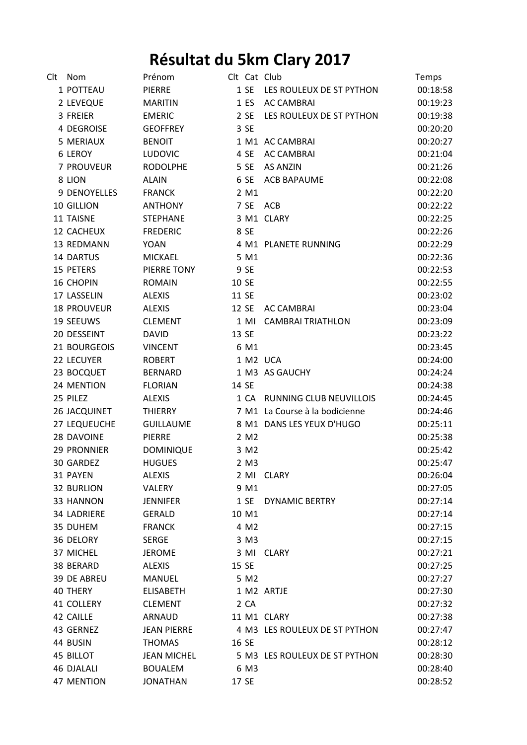## **Résultat du 5km Clary 2017**

| Clt | Nom                | Prénom             |                  | Clt Cat Club                   | Temps    |
|-----|--------------------|--------------------|------------------|--------------------------------|----------|
|     | 1 POTTEAU          | <b>PIERRE</b>      |                  | 1 SE LES ROULEUX DE ST PYTHON  | 00:18:58 |
|     | 2 LEVEQUE          | <b>MARITIN</b>     | 1 E <sub>S</sub> | <b>AC CAMBRAI</b>              | 00:19:23 |
|     | 3 FREIER           | <b>EMERIC</b>      | 2 SE             | LES ROULEUX DE ST PYTHON       | 00:19:38 |
|     | 4 DEGROISE         | <b>GEOFFREY</b>    | 3 SE             |                                | 00:20:20 |
|     | 5 MERIAUX          | <b>BENOIT</b>      |                  | 1 M1 AC CAMBRAI                | 00:20:27 |
|     | 6 LEROY            | <b>LUDOVIC</b>     | 4 SE             | <b>AC CAMBRAI</b>              | 00:21:04 |
|     | 7 PROUVEUR         | <b>RODOLPHE</b>    | 5 SE             | AS ANZIN                       | 00:21:26 |
|     | 8 LION             | <b>ALAIN</b>       | 6 SE             | <b>ACB BAPAUME</b>             | 00:22:08 |
|     | 9 DENOYELLES       | <b>FRANCK</b>      | 2 M1             |                                | 00:22:20 |
|     | 10 GILLION         | <b>ANTHONY</b>     |                  | 7 SE ACB                       | 00:22:22 |
|     | 11 TAISNE          | <b>STEPHANE</b>    |                  | 3 M1 CLARY                     | 00:22:25 |
|     | 12 CACHEUX         | <b>FREDERIC</b>    | 8 SE             |                                | 00:22:26 |
|     | 13 REDMANN         | <b>YOAN</b>        |                  | 4 M1 PLANETE RUNNING           | 00:22:29 |
|     | <b>14 DARTUS</b>   | <b>MICKAEL</b>     | 5 M1             |                                | 00:22:36 |
|     | 15 PETERS          | PIERRE TONY        | 9 SE             |                                | 00:22:53 |
|     | 16 CHOPIN          | <b>ROMAIN</b>      | 10 SE            |                                | 00:22:55 |
|     | 17 LASSELIN        | <b>ALEXIS</b>      | 11 SE            |                                | 00:23:02 |
|     | <b>18 PROUVEUR</b> | <b>ALEXIS</b>      | 12 SE            | <b>AC CAMBRAI</b>              | 00:23:04 |
|     | 19 SEEUWS          | <b>CLEMENT</b>     | 1 MI             | <b>CAMBRAI TRIATHLON</b>       | 00:23:09 |
|     | 20 DESSEINT        | <b>DAVID</b>       | 13 SE            |                                | 00:23:22 |
|     | 21 BOURGEOIS       | <b>VINCENT</b>     | 6 M1             |                                | 00:23:45 |
|     | 22 LECUYER         | <b>ROBERT</b>      |                  | 1 M2 UCA                       | 00:24:00 |
|     | 23 BOCQUET         | <b>BERNARD</b>     |                  | 1 M3 AS GAUCHY                 | 00:24:24 |
|     | 24 MENTION         | <b>FLORIAN</b>     | 14 SE            |                                | 00:24:38 |
|     | 25 PILEZ           | <b>ALEXIS</b>      |                  | 1 CA RUNNING CLUB NEUVILLOIS   | 00:24:45 |
|     | 26 JACQUINET       | THIERRY            |                  | 7 M1 La Course à la bodicienne | 00:24:46 |
|     | 27 LEQUEUCHE       | <b>GUILLAUME</b>   |                  | 8 M1 DANS LES YEUX D'HUGO      | 00:25:11 |
|     | 28 DAVOINE         | <b>PIERRE</b>      | 2 M2             |                                | 00:25:38 |
|     | <b>29 PRONNIER</b> | <b>DOMINIQUE</b>   | 3 M2             |                                | 00:25:42 |
|     | 30 GARDEZ          | <b>HUGUES</b>      | 2 M3             |                                | 00:25:47 |
|     | 31 PAYEN           | <b>ALEXIS</b>      |                  | 2 MI CLARY                     | 00:26:04 |
|     | <b>32 BURLION</b>  | VALERY             | 9 M1             |                                | 00:27:05 |
|     | 33 HANNON          | <b>JENNIFER</b>    | 1SE              | <b>DYNAMIC BERTRY</b>          | 00:27:14 |
|     | <b>34 LADRIERE</b> | <b>GERALD</b>      | 10 M1            |                                | 00:27:14 |
|     | 35 DUHEM           | <b>FRANCK</b>      | 4 M <sub>2</sub> |                                | 00:27:15 |
|     | 36 DELORY          | <b>SERGE</b>       | 3 M3             |                                | 00:27:15 |
|     | 37 MICHEL          | <b>JEROME</b>      |                  | 3 MI CLARY                     | 00:27:21 |
|     | 38 BERARD          | <b>ALEXIS</b>      | 15 SE            |                                | 00:27:25 |
|     | <b>39 DE ABREU</b> | MANUEL             | 5 M2             |                                | 00:27:27 |
|     | 40 THERY           | <b>ELISABETH</b>   |                  | 1 M2 ARTJE                     | 00:27:30 |
|     | 41 COLLERY         | <b>CLEMENT</b>     | 2 CA             |                                | 00:27:32 |
|     | 42 CAILLE          | ARNAUD             |                  | 11 M1 CLARY                    | 00:27:38 |
|     | 43 GERNEZ          | <b>JEAN PIERRE</b> |                  | 4 M3 LES ROULEUX DE ST PYTHON  | 00:27:47 |
|     | 44 BUSIN           | <b>THOMAS</b>      | 16 SE            |                                | 00:28:12 |
|     | 45 BILLOT          | <b>JEAN MICHEL</b> |                  | 5 M3 LES ROULEUX DE ST PYTHON  | 00:28:30 |
|     | <b>46 DJALALI</b>  | <b>BOUALEM</b>     | 6 M3             |                                | 00:28:40 |
|     | 47 MENTION         | <b>JONATHAN</b>    | 17 SE            |                                | 00:28:52 |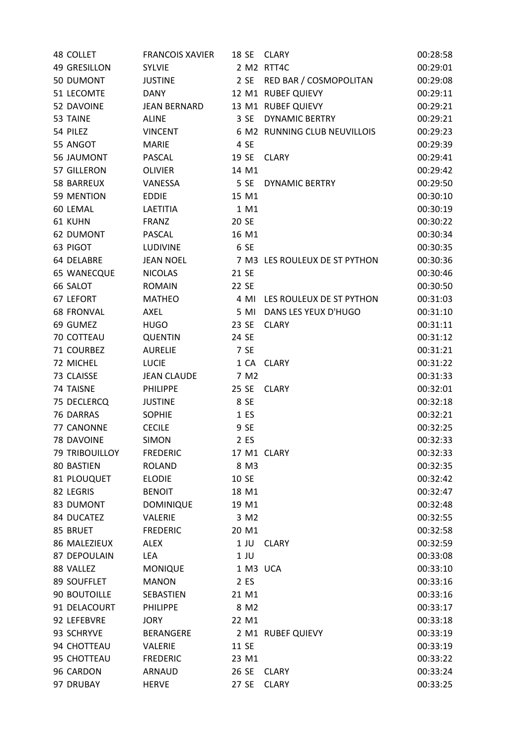| <b>48 COLLET</b>      | <b>FRANCOIS XAVIER</b> | 18 SE       | <b>CLARY</b>                  | 00:28:58 |
|-----------------------|------------------------|-------------|-------------------------------|----------|
| 49 GRESILLON          | <b>SYLVIE</b>          |             | 2 M2 RTT4C                    | 00:29:01 |
| 50 DUMONT             | <b>JUSTINE</b>         | 2 SE        | RED BAR / COSMOPOLITAN        | 00:29:08 |
| 51 LECOMTE            | <b>DANY</b>            |             | 12 M1 RUBEF QUIEVY            | 00:29:11 |
| 52 DAVOINE            | <b>JEAN BERNARD</b>    |             | 13 M1 RUBEF QUIEVY            | 00:29:21 |
| 53 TAINE              | <b>ALINE</b>           | 3 SE        | <b>DYNAMIC BERTRY</b>         | 00:29:21 |
| 54 PILEZ              | <b>VINCENT</b>         |             | 6 M2 RUNNING CLUB NEUVILLOIS  | 00:29:23 |
| 55 ANGOT              | <b>MARIE</b>           | 4 SE        |                               | 00:29:39 |
| 56 JAUMONT            | <b>PASCAL</b>          | 19 SE       | <b>CLARY</b>                  | 00:29:41 |
| 57 GILLERON           | <b>OLIVIER</b>         | 14 M1       |                               | 00:29:42 |
| 58 BARREUX            | VANESSA                | 5 SE        | <b>DYNAMIC BERTRY</b>         | 00:29:50 |
| 59 MENTION            | <b>EDDIE</b>           | 15 M1       |                               | 00:30:10 |
| 60 LEMAL              | LAETITIA               | 1 M1        |                               | 00:30:19 |
| 61 KUHN               | <b>FRANZ</b>           | 20 SE       |                               | 00:30:22 |
| <b>62 DUMONT</b>      | PASCAL                 | 16 M1       |                               | 00:30:34 |
| 63 PIGOT              | <b>LUDIVINE</b>        | 6 SE        |                               | 00:30:35 |
| 64 DELABRE            | <b>JEAN NOEL</b>       |             | 7 M3 LES ROULEUX DE ST PYTHON | 00:30:36 |
| <b>65 WANECQUE</b>    | <b>NICOLAS</b>         | 21 SE       |                               | 00:30:46 |
| 66 SALOT              | <b>ROMAIN</b>          | 22 SE       |                               | 00:30:50 |
| 67 LEFORT             | <b>MATHEO</b>          | 4 MI        | LES ROULEUX DE ST PYTHON      | 00:31:03 |
| <b>68 FRONVAL</b>     | AXEL                   | 5 MI        | DANS LES YEUX D'HUGO          | 00:31:10 |
| 69 GUMEZ              | <b>HUGO</b>            | 23 SE       | <b>CLARY</b>                  | 00:31:11 |
| 70 COTTEAU            | <b>QUENTIN</b>         | 24 SE       |                               | 00:31:12 |
| 71 COURBEZ            | <b>AURELIE</b>         | 7 SE        |                               | 00:31:21 |
| 72 MICHEL             | <b>LUCIE</b>           |             | 1 CA CLARY                    | 00:31:22 |
| 73 CLAISSE            | <b>JEAN CLAUDE</b>     | 7 M2        |                               | 00:31:33 |
| 74 TAISNE             | <b>PHILIPPE</b>        | 25 SE       | <b>CLARY</b>                  | 00:32:01 |
| 75 DECLERCQ           | <b>JUSTINE</b>         | 8 SE        |                               | 00:32:18 |
| 76 DARRAS             | <b>SOPHIE</b>          | 1 ES        |                               | 00:32:21 |
| 77 CANONNE            | <b>CECILE</b>          | 9 SE        |                               | 00:32:25 |
| 78 DAVOINE            | <b>SIMON</b>           | 2 ES        |                               | 00:32:33 |
| <b>79 TRIBOUILLOY</b> | <b>FREDERIC</b>        | 17 M1 CLARY |                               | 00:32:33 |
| 80 BASTIEN            | <b>ROLAND</b>          | 8 M3        |                               | 00:32:35 |
| 81 PLOUQUET           | <b>ELODIE</b>          | 10 SE       |                               | 00:32:42 |
| 82 LEGRIS             | <b>BENOIT</b>          | 18 M1       |                               | 00:32:47 |
| 83 DUMONT             | <b>DOMINIQUE</b>       | 19 M1       |                               | 00:32:48 |
| 84 DUCATEZ            | VALERIE                | 3 M2        |                               | 00:32:55 |
| 85 BRUET              | <b>FREDERIC</b>        | 20 M1       |                               | 00:32:58 |
| 86 MALEZIEUX          | <b>ALEX</b>            | $1$ JU      | <b>CLARY</b>                  | 00:32:59 |
| 87 DEPOULAIN          | <b>LEA</b>             | $1$ JU      |                               | 00:33:08 |
| 88 VALLEZ             | <b>MONIQUE</b>         | 1 M3 UCA    |                               | 00:33:10 |
| 89 SOUFFLET           | <b>MANON</b>           | 2 ES        |                               | 00:33:16 |
| 90 BOUTOILLE          | SEBASTIEN              | 21 M1       |                               | 00:33:16 |
| 91 DELACOURT          | <b>PHILIPPE</b>        | 8 M2        |                               | 00:33:17 |
| 92 LEFEBVRE           | <b>JORY</b>            | 22 M1       |                               | 00:33:18 |
| 93 SCHRYVE            | BERANGERE              |             | 2 M1 RUBEF QUIEVY             | 00:33:19 |
| 94 CHOTTEAU           | VALERIE                | 11 SE       |                               | 00:33:19 |
| 95 CHOTTEAU           | <b>FREDERIC</b>        | 23 M1       |                               | 00:33:22 |
| 96 CARDON             | ARNAUD                 | 26 SE       | <b>CLARY</b>                  | 00:33:24 |
| 97 DRUBAY             | <b>HERVE</b>           | 27 SE       | <b>CLARY</b>                  | 00:33:25 |